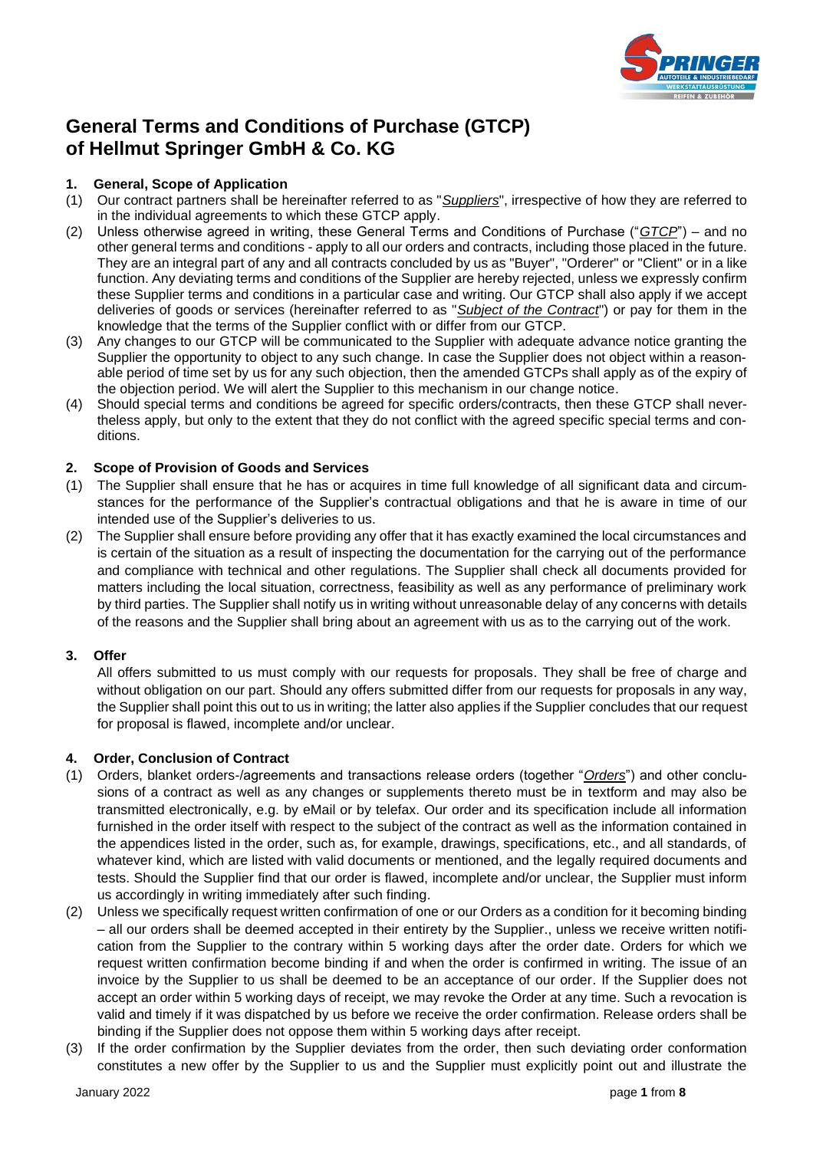

# **General Terms and Conditions of Purchase (GTCP) of Hellmut Springer GmbH & Co. KG**

# **1. General, Scope of Application**

- (1) Our contract partners shall be hereinafter referred to as "*Suppliers*", irrespective of how they are referred to in the individual agreements to which these GTCP apply.
- (2) Unless otherwise agreed in writing, these General Terms and Conditions of Purchase ("*GTCP*") and no other general terms and conditions - apply to all our orders and contracts, including those placed in the future. They are an integral part of any and all contracts concluded by us as "Buyer", "Orderer" or "Client" or in a like function. Any deviating terms and conditions of the Supplier are hereby rejected, unless we expressly confirm these Supplier terms and conditions in a particular case and writing. Our GTCP shall also apply if we accept deliveries of goods or services (hereinafter referred to as "*Subject of the Contract*") or pay for them in the knowledge that the terms of the Supplier conflict with or differ from our GTCP.
- (3) Any changes to our GTCP will be communicated to the Supplier with adequate advance notice granting the Supplier the opportunity to object to any such change. In case the Supplier does not object within a reasonable period of time set by us for any such objection, then the amended GTCPs shall apply as of the expiry of the objection period. We will alert the Supplier to this mechanism in our change notice.
- (4) Should special terms and conditions be agreed for specific orders/contracts, then these GTCP shall nevertheless apply, but only to the extent that they do not conflict with the agreed specific special terms and conditions.

#### **2. Scope of Provision of Goods and Services**

- (1) The Supplier shall ensure that he has or acquires in time full knowledge of all significant data and circumstances for the performance of the Supplier's contractual obligations and that he is aware in time of our intended use of the Supplier's deliveries to us.
- (2) The Supplier shall ensure before providing any offer that it has exactly examined the local circumstances and is certain of the situation as a result of inspecting the documentation for the carrying out of the performance and compliance with technical and other regulations. The Supplier shall check all documents provided for matters including the local situation, correctness, feasibility as well as any performance of preliminary work by third parties. The Supplier shall notify us in writing without unreasonable delay of any concerns with details of the reasons and the Supplier shall bring about an agreement with us as to the carrying out of the work.

# **3. Offer**

All offers submitted to us must comply with our requests for proposals. They shall be free of charge and without obligation on our part. Should any offers submitted differ from our requests for proposals in any way, the Supplier shall point this out to us in writing; the latter also applies if the Supplier concludes that our request for proposal is flawed, incomplete and/or unclear.

# **4. Order, Conclusion of Contract**

- (1) Orders, blanket orders-/agreements and transactions release orders (together "*Orders*") and other conclusions of a contract as well as any changes or supplements thereto must be in textform and may also be transmitted electronically, e.g. by eMail or by telefax. Our order and its specification include all information furnished in the order itself with respect to the subject of the contract as well as the information contained in the appendices listed in the order, such as, for example, drawings, specifications, etc., and all standards, of whatever kind, which are listed with valid documents or mentioned, and the legally required documents and tests. Should the Supplier find that our order is flawed, incomplete and/or unclear, the Supplier must inform us accordingly in writing immediately after such finding.
- (2) Unless we specifically request written confirmation of one or our Orders as a condition for it becoming binding – all our orders shall be deemed accepted in their entirety by the Supplier., unless we receive written notification from the Supplier to the contrary within 5 working days after the order date. Orders for which we request written confirmation become binding if and when the order is confirmed in writing. The issue of an invoice by the Supplier to us shall be deemed to be an acceptance of our order. If the Supplier does not accept an order within 5 working days of receipt, we may revoke the Order at any time. Such a revocation is valid and timely if it was dispatched by us before we receive the order confirmation. Release orders shall be binding if the Supplier does not oppose them within 5 working days after receipt.
- (3) If the order confirmation by the Supplier deviates from the order, then such deviating order conformation constitutes a new offer by the Supplier to us and the Supplier must explicitly point out and illustrate the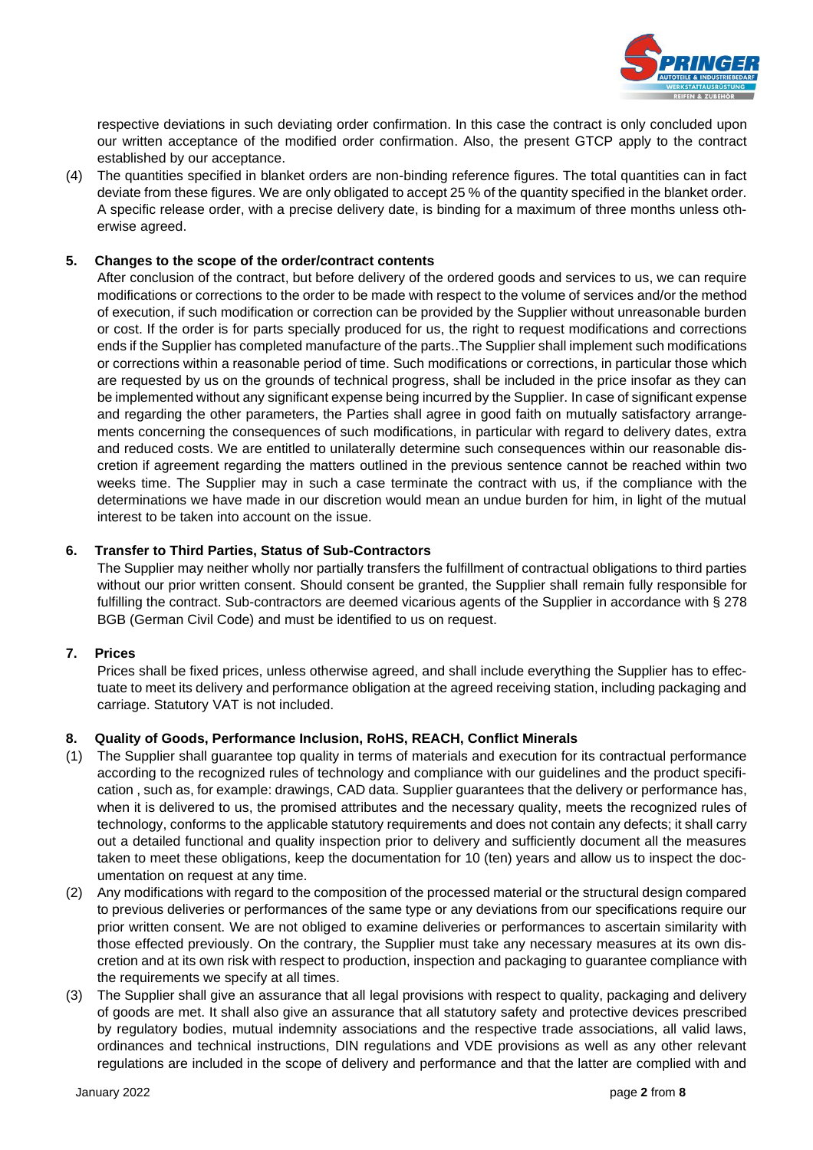

respective deviations in such deviating order confirmation. In this case the contract is only concluded upon our written acceptance of the modified order confirmation. Also, the present GTCP apply to the contract established by our acceptance.

(4) The quantities specified in blanket orders are non-binding reference figures. The total quantities can in fact deviate from these figures. We are only obligated to accept 25 % of the quantity specified in the blanket order. A specific release order, with a precise delivery date, is binding for a maximum of three months unless otherwise agreed.

## **5. Changes to the scope of the order/contract contents**

After conclusion of the contract, but before delivery of the ordered goods and services to us, we can require modifications or corrections to the order to be made with respect to the volume of services and/or the method of execution, if such modification or correction can be provided by the Supplier without unreasonable burden or cost. If the order is for parts specially produced for us, the right to request modifications and corrections ends if the Supplier has completed manufacture of the parts..The Supplier shall implement such modifications or corrections within a reasonable period of time. Such modifications or corrections, in particular those which are requested by us on the grounds of technical progress, shall be included in the price insofar as they can be implemented without any significant expense being incurred by the Supplier. In case of significant expense and regarding the other parameters, the Parties shall agree in good faith on mutually satisfactory arrangements concerning the consequences of such modifications, in particular with regard to delivery dates, extra and reduced costs. We are entitled to unilaterally determine such consequences within our reasonable discretion if agreement regarding the matters outlined in the previous sentence cannot be reached within two weeks time. The Supplier may in such a case terminate the contract with us, if the compliance with the determinations we have made in our discretion would mean an undue burden for him, in light of the mutual interest to be taken into account on the issue.

#### **6. Transfer to Third Parties, Status of Sub-Contractors**

The Supplier may neither wholly nor partially transfers the fulfillment of contractual obligations to third parties without our prior written consent. Should consent be granted, the Supplier shall remain fully responsible for fulfilling the contract. Sub-contractors are deemed vicarious agents of the Supplier in accordance with § 278 BGB (German Civil Code) and must be identified to us on request.

# **7. Prices**

Prices shall be fixed prices, unless otherwise agreed, and shall include everything the Supplier has to effectuate to meet its delivery and performance obligation at the agreed receiving station, including packaging and carriage. Statutory VAT is not included.

# **8. Quality of Goods, Performance Inclusion, RoHS, REACH, Conflict Minerals**

- (1) The Supplier shall guarantee top quality in terms of materials and execution for its contractual performance according to the recognized rules of technology and compliance with our guidelines and the product specification , such as, for example: drawings, CAD data. Supplier guarantees that the delivery or performance has, when it is delivered to us, the promised attributes and the necessary quality, meets the recognized rules of technology, conforms to the applicable statutory requirements and does not contain any defects; it shall carry out a detailed functional and quality inspection prior to delivery and sufficiently document all the measures taken to meet these obligations, keep the documentation for 10 (ten) years and allow us to inspect the documentation on request at any time.
- (2) Any modifications with regard to the composition of the processed material or the structural design compared to previous deliveries or performances of the same type or any deviations from our specifications require our prior written consent. We are not obliged to examine deliveries or performances to ascertain similarity with those effected previously. On the contrary, the Supplier must take any necessary measures at its own discretion and at its own risk with respect to production, inspection and packaging to guarantee compliance with the requirements we specify at all times.
- (3) The Supplier shall give an assurance that all legal provisions with respect to quality, packaging and delivery of goods are met. It shall also give an assurance that all statutory safety and protective devices prescribed by regulatory bodies, mutual indemnity associations and the respective trade associations, all valid laws, ordinances and technical instructions, DIN regulations and VDE provisions as well as any other relevant regulations are included in the scope of delivery and performance and that the latter are complied with and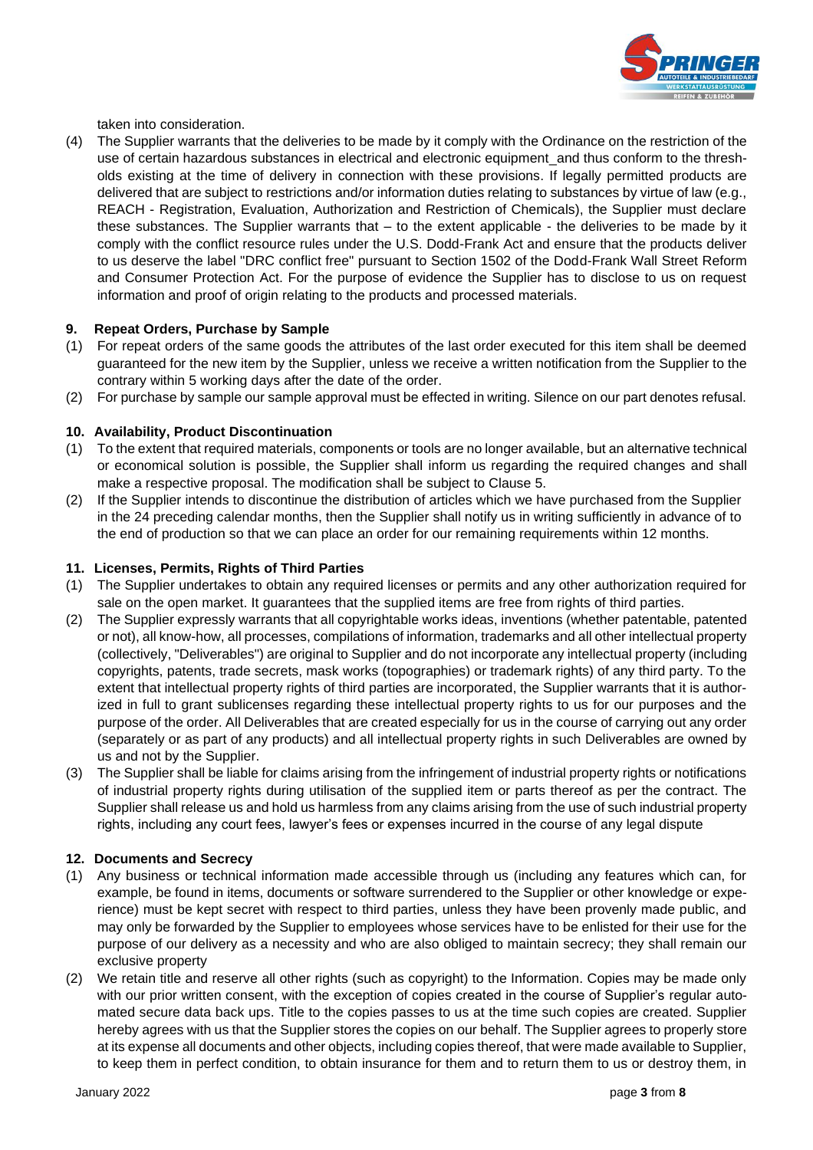

taken into consideration.

(4) The Supplier warrants that the deliveries to be made by it comply with the Ordinance on the restriction of the use of certain hazardous substances in electrical and electronic equipment\_and thus conform to the thresholds existing at the time of delivery in connection with these provisions. If legally permitted products are delivered that are subject to restrictions and/or information duties relating to substances by virtue of law (e.g., REACH - Registration, Evaluation, Authorization and Restriction of Chemicals), the Supplier must declare these substances. The Supplier warrants that – to the extent applicable - the deliveries to be made by it comply with the conflict resource rules under the U.S. Dodd-Frank Act and ensure that the products deliver to us deserve the label "DRC conflict free" pursuant to Section 1502 of the Dodd-Frank Wall Street Reform and Consumer Protection Act. For the purpose of evidence the Supplier has to disclose to us on request information and proof of origin relating to the products and processed materials.

#### **9. Repeat Orders, Purchase by Sample**

- (1) For repeat orders of the same goods the attributes of the last order executed for this item shall be deemed guaranteed for the new item by the Supplier, unless we receive a written notification from the Supplier to the contrary within 5 working days after the date of the order.
- (2) For purchase by sample our sample approval must be effected in writing. Silence on our part denotes refusal.

# **10. Availability, Product Discontinuation**

- (1) To the extent that required materials, components or tools are no longer available, but an alternative technical or economical solution is possible, the Supplier shall inform us regarding the required changes and shall make a respective proposal. The modification shall be subject to Clause 5.
- (2) If the Supplier intends to discontinue the distribution of articles which we have purchased from the Supplier in the 24 preceding calendar months, then the Supplier shall notify us in writing sufficiently in advance of to the end of production so that we can place an order for our remaining requirements within 12 months.

#### **11. Licenses, Permits, Rights of Third Parties**

- (1) The Supplier undertakes to obtain any required licenses or permits and any other authorization required for sale on the open market. It guarantees that the supplied items are free from rights of third parties.
- (2) The Supplier expressly warrants that all copyrightable works ideas, inventions (whether patentable, patented or not), all know-how, all processes, compilations of information, trademarks and all other intellectual property (collectively, "Deliverables") are original to Supplier and do not incorporate any intellectual property (including copyrights, patents, trade secrets, mask works (topographies) or trademark rights) of any third party. To the extent that intellectual property rights of third parties are incorporated, the Supplier warrants that it is authorized in full to grant sublicenses regarding these intellectual property rights to us for our purposes and the purpose of the order. All Deliverables that are created especially for us in the course of carrying out any order (separately or as part of any products) and all intellectual property rights in such Deliverables are owned by us and not by the Supplier.
- (3) The Supplier shall be liable for claims arising from the infringement of industrial property rights or notifications of industrial property rights during utilisation of the supplied item or parts thereof as per the contract. The Supplier shall release us and hold us harmless from any claims arising from the use of such industrial property rights, including any court fees, lawyer's fees or expenses incurred in the course of any legal dispute

#### **12. Documents and Secrecy**

- (1) Any business or technical information made accessible through us (including any features which can, for example, be found in items, documents or software surrendered to the Supplier or other knowledge or experience) must be kept secret with respect to third parties, unless they have been provenly made public, and may only be forwarded by the Supplier to employees whose services have to be enlisted for their use for the purpose of our delivery as a necessity and who are also obliged to maintain secrecy; they shall remain our exclusive property
- (2) We retain title and reserve all other rights (such as copyright) to the Information. Copies may be made only with our prior written consent, with the exception of copies created in the course of Supplier's regular automated secure data back ups. Title to the copies passes to us at the time such copies are created. Supplier hereby agrees with us that the Supplier stores the copies on our behalf. The Supplier agrees to properly store at its expense all documents and other objects, including copies thereof, that were made available to Supplier, to keep them in perfect condition, to obtain insurance for them and to return them to us or destroy them, in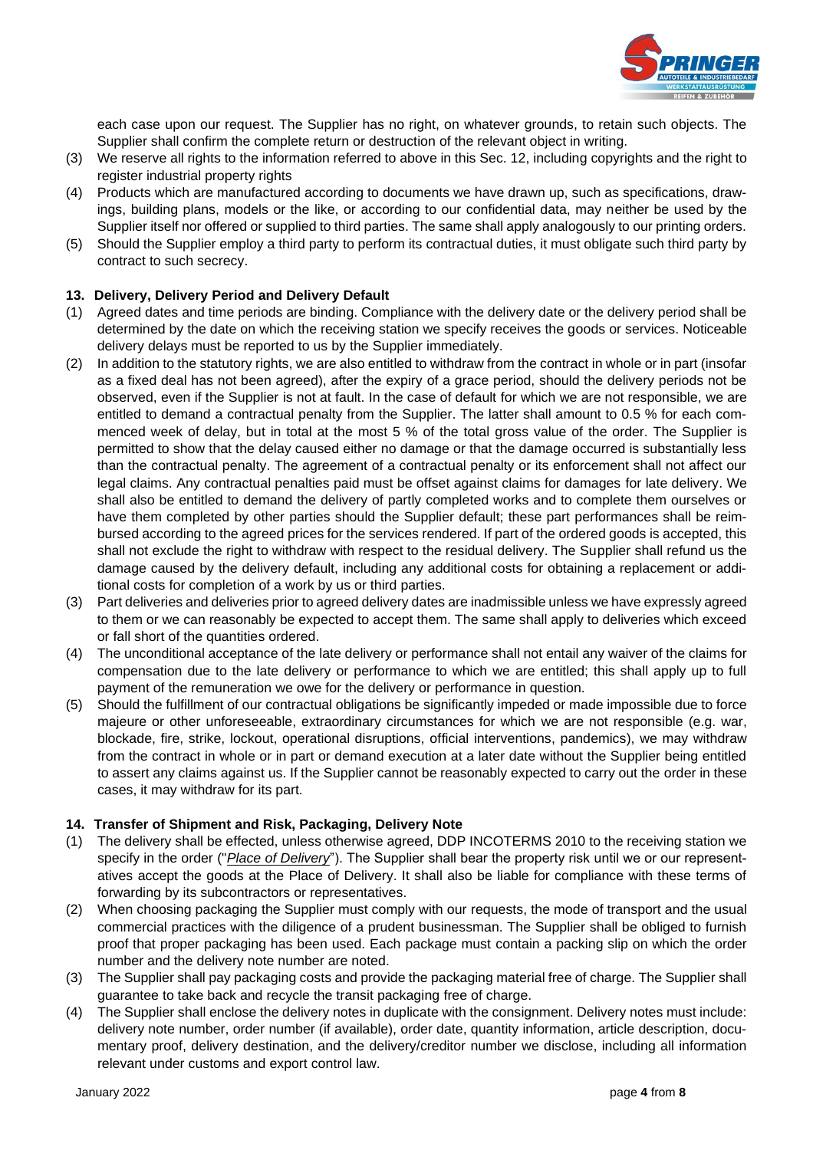

each case upon our request. The Supplier has no right, on whatever grounds, to retain such objects. The Supplier shall confirm the complete return or destruction of the relevant object in writing.

- (3) We reserve all rights to the information referred to above in this Sec. 12, including copyrights and the right to register industrial property rights
- (4) Products which are manufactured according to documents we have drawn up, such as specifications, drawings, building plans, models or the like, or according to our confidential data, may neither be used by the Supplier itself nor offered or supplied to third parties. The same shall apply analogously to our printing orders.
- (5) Should the Supplier employ a third party to perform its contractual duties, it must obligate such third party by contract to such secrecy.

# **13. Delivery, Delivery Period and Delivery Default**

- (1) Agreed dates and time periods are binding. Compliance with the delivery date or the delivery period shall be determined by the date on which the receiving station we specify receives the goods or services. Noticeable delivery delays must be reported to us by the Supplier immediately.
- (2) In addition to the statutory rights, we are also entitled to withdraw from the contract in whole or in part (insofar as a fixed deal has not been agreed), after the expiry of a grace period, should the delivery periods not be observed, even if the Supplier is not at fault. In the case of default for which we are not responsible, we are entitled to demand a contractual penalty from the Supplier. The latter shall amount to 0.5 % for each commenced week of delay, but in total at the most 5 % of the total gross value of the order. The Supplier is permitted to show that the delay caused either no damage or that the damage occurred is substantially less than the contractual penalty. The agreement of a contractual penalty or its enforcement shall not affect our legal claims. Any contractual penalties paid must be offset against claims for damages for late delivery. We shall also be entitled to demand the delivery of partly completed works and to complete them ourselves or have them completed by other parties should the Supplier default; these part performances shall be reimbursed according to the agreed prices for the services rendered. If part of the ordered goods is accepted, this shall not exclude the right to withdraw with respect to the residual delivery. The Supplier shall refund us the damage caused by the delivery default, including any additional costs for obtaining a replacement or additional costs for completion of a work by us or third parties.
- (3) Part deliveries and deliveries prior to agreed delivery dates are inadmissible unless we have expressly agreed to them or we can reasonably be expected to accept them. The same shall apply to deliveries which exceed or fall short of the quantities ordered.
- (4) The unconditional acceptance of the late delivery or performance shall not entail any waiver of the claims for compensation due to the late delivery or performance to which we are entitled; this shall apply up to full payment of the remuneration we owe for the delivery or performance in question.
- (5) Should the fulfillment of our contractual obligations be significantly impeded or made impossible due to force majeure or other unforeseeable, extraordinary circumstances for which we are not responsible (e.g. war, blockade, fire, strike, lockout, operational disruptions, official interventions, pandemics), we may withdraw from the contract in whole or in part or demand execution at a later date without the Supplier being entitled to assert any claims against us. If the Supplier cannot be reasonably expected to carry out the order in these cases, it may withdraw for its part.

# **14. Transfer of Shipment and Risk, Packaging, Delivery Note**

- (1) The delivery shall be effected, unless otherwise agreed, DDP INCOTERMS 2010 to the receiving station we specify in the order ("*Place of Delivery*"). The Supplier shall bear the property risk until we or our representatives accept the goods at the Place of Delivery. It shall also be liable for compliance with these terms of forwarding by its subcontractors or representatives.
- (2) When choosing packaging the Supplier must comply with our requests, the mode of transport and the usual commercial practices with the diligence of a prudent businessman. The Supplier shall be obliged to furnish proof that proper packaging has been used. Each package must contain a packing slip on which the order number and the delivery note number are noted.
- (3) The Supplier shall pay packaging costs and provide the packaging material free of charge. The Supplier shall guarantee to take back and recycle the transit packaging free of charge.
- (4) The Supplier shall enclose the delivery notes in duplicate with the consignment. Delivery notes must include: delivery note number, order number (if available), order date, quantity information, article description, documentary proof, delivery destination, and the delivery/creditor number we disclose, including all information relevant under customs and export control law.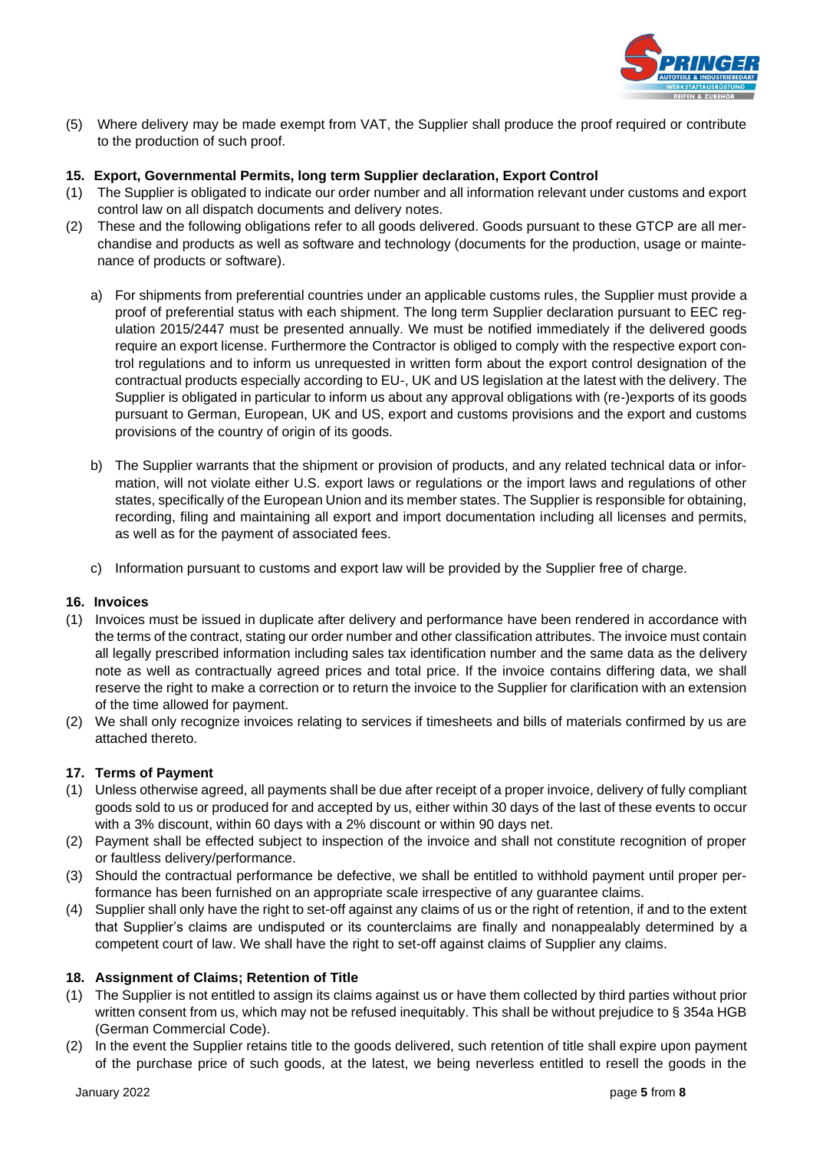

(5) Where delivery may be made exempt from VAT, the Supplier shall produce the proof required or contribute to the production of such proof.

#### **15. Export, Governmental Permits, long term Supplier declaration, Export Control**

- (1) The Supplier is obligated to indicate our order number and all information relevant under customs and export control law on all dispatch documents and delivery notes.
- (2) These and the following obligations refer to all goods delivered. Goods pursuant to these GTCP are all merchandise and products as well as software and technology (documents for the production, usage or maintenance of products or software).
	- a) For shipments from preferential countries under an applicable customs rules, the Supplier must provide a proof of preferential status with each shipment. The long term Supplier declaration pursuant to EEC regulation 2015/2447 must be presented annually. We must be notified immediately if the delivered goods require an export license. Furthermore the Contractor is obliged to comply with the respective export control regulations and to inform us unrequested in written form about the export control designation of the contractual products especially according to EU-, UK and US legislation at the latest with the delivery. The Supplier is obligated in particular to inform us about any approval obligations with (re-)exports of its goods pursuant to German, European, UK and US, export and customs provisions and the export and customs provisions of the country of origin of its goods.
	- b) The Supplier warrants that the shipment or provision of products, and any related technical data or information, will not violate either U.S. export laws or regulations or the import laws and regulations of other states, specifically of the European Union and its member states. The Supplier is responsible for obtaining, recording, filing and maintaining all export and import documentation including all licenses and permits, as well as for the payment of associated fees.
	- c) Information pursuant to customs and export law will be provided by the Supplier free of charge.

#### **16. Invoices**

- (1) Invoices must be issued in duplicate after delivery and performance have been rendered in accordance with the terms of the contract, stating our order number and other classification attributes. The invoice must contain all legally prescribed information including sales tax identification number and the same data as the delivery note as well as contractually agreed prices and total price. If the invoice contains differing data, we shall reserve the right to make a correction or to return the invoice to the Supplier for clarification with an extension of the time allowed for payment.
- (2) We shall only recognize invoices relating to services if timesheets and bills of materials confirmed by us are attached thereto.

# **17. Terms of Payment**

- (1) Unless otherwise agreed, all payments shall be due after receipt of a proper invoice, delivery of fully compliant goods sold to us or produced for and accepted by us, either within 30 days of the last of these events to occur with a 3% discount, within 60 days with a 2% discount or within 90 days net.
- (2) Payment shall be effected subject to inspection of the invoice and shall not constitute recognition of proper or faultless delivery/performance.
- (3) Should the contractual performance be defective, we shall be entitled to withhold payment until proper performance has been furnished on an appropriate scale irrespective of any guarantee claims.
- (4) Supplier shall only have the right to set-off against any claims of us or the right of retention, if and to the extent that Supplier's claims are undisputed or its counterclaims are finally and nonappealably determined by a competent court of law. We shall have the right to set-off against claims of Supplier any claims.

# **18. Assignment of Claims; Retention of Title**

- (1) The Supplier is not entitled to assign its claims against us or have them collected by third parties without prior written consent from us, which may not be refused inequitably. This shall be without prejudice to § 354a HGB (German Commercial Code).
- (2) In the event the Supplier retains title to the goods delivered, such retention of title shall expire upon payment of the purchase price of such goods, at the latest, we being neverless entitled to resell the goods in the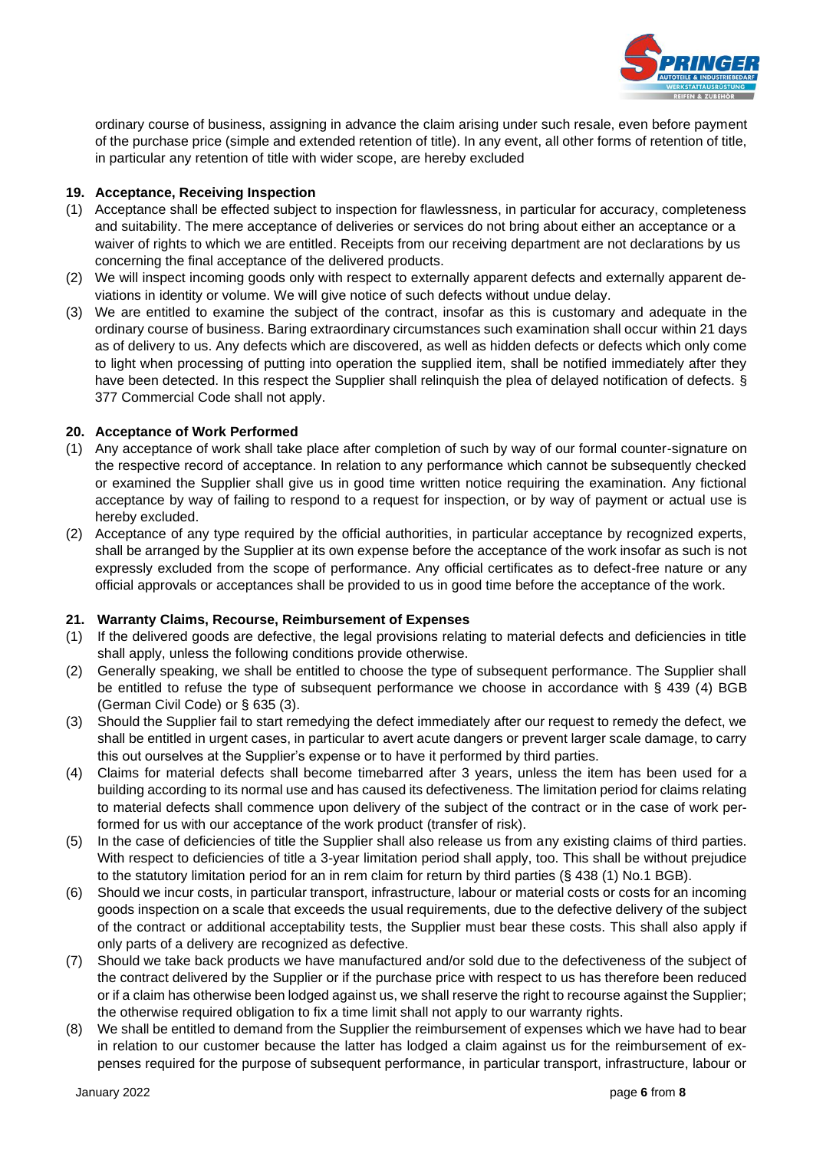

ordinary course of business, assigning in advance the claim arising under such resale, even before payment of the purchase price (simple and extended retention of title). In any event, all other forms of retention of title, in particular any retention of title with wider scope, are hereby excluded

## **19. Acceptance, Receiving Inspection**

- (1) Acceptance shall be effected subject to inspection for flawlessness, in particular for accuracy, completeness and suitability. The mere acceptance of deliveries or services do not bring about either an acceptance or a waiver of rights to which we are entitled. Receipts from our receiving department are not declarations by us concerning the final acceptance of the delivered products.
- (2) We will inspect incoming goods only with respect to externally apparent defects and externally apparent deviations in identity or volume. We will give notice of such defects without undue delay.
- (3) We are entitled to examine the subject of the contract, insofar as this is customary and adequate in the ordinary course of business. Baring extraordinary circumstances such examination shall occur within 21 days as of delivery to us. Any defects which are discovered, as well as hidden defects or defects which only come to light when processing of putting into operation the supplied item, shall be notified immediately after they have been detected. In this respect the Supplier shall relinquish the plea of delayed notification of defects. § 377 Commercial Code shall not apply.

#### **20. Acceptance of Work Performed**

- (1) Any acceptance of work shall take place after completion of such by way of our formal counter-signature on the respective record of acceptance. In relation to any performance which cannot be subsequently checked or examined the Supplier shall give us in good time written notice requiring the examination. Any fictional acceptance by way of failing to respond to a request for inspection, or by way of payment or actual use is hereby excluded.
- (2) Acceptance of any type required by the official authorities, in particular acceptance by recognized experts, shall be arranged by the Supplier at its own expense before the acceptance of the work insofar as such is not expressly excluded from the scope of performance. Any official certificates as to defect-free nature or any official approvals or acceptances shall be provided to us in good time before the acceptance of the work.

#### **21. Warranty Claims, Recourse, Reimbursement of Expenses**

- (1) If the delivered goods are defective, the legal provisions relating to material defects and deficiencies in title shall apply, unless the following conditions provide otherwise.
- (2) Generally speaking, we shall be entitled to choose the type of subsequent performance. The Supplier shall be entitled to refuse the type of subsequent performance we choose in accordance with § 439 (4) BGB (German Civil Code) or § 635 (3).
- (3) Should the Supplier fail to start remedying the defect immediately after our request to remedy the defect, we shall be entitled in urgent cases, in particular to avert acute dangers or prevent larger scale damage, to carry this out ourselves at the Supplier's expense or to have it performed by third parties.
- (4) Claims for material defects shall become timebarred after 3 years, unless the item has been used for a building according to its normal use and has caused its defectiveness. The limitation period for claims relating to material defects shall commence upon delivery of the subject of the contract or in the case of work performed for us with our acceptance of the work product (transfer of risk).
- (5) In the case of deficiencies of title the Supplier shall also release us from any existing claims of third parties. With respect to deficiencies of title a 3-year limitation period shall apply, too. This shall be without prejudice to the statutory limitation period for an in rem claim for return by third parties (§ 438 (1) No.1 BGB).
- (6) Should we incur costs, in particular transport, infrastructure, labour or material costs or costs for an incoming goods inspection on a scale that exceeds the usual requirements, due to the defective delivery of the subject of the contract or additional acceptability tests, the Supplier must bear these costs. This shall also apply if only parts of a delivery are recognized as defective.
- (7) Should we take back products we have manufactured and/or sold due to the defectiveness of the subject of the contract delivered by the Supplier or if the purchase price with respect to us has therefore been reduced or if a claim has otherwise been lodged against us, we shall reserve the right to recourse against the Supplier; the otherwise required obligation to fix a time limit shall not apply to our warranty rights.
- (8) We shall be entitled to demand from the Supplier the reimbursement of expenses which we have had to bear in relation to our customer because the latter has lodged a claim against us for the reimbursement of expenses required for the purpose of subsequent performance, in particular transport, infrastructure, labour or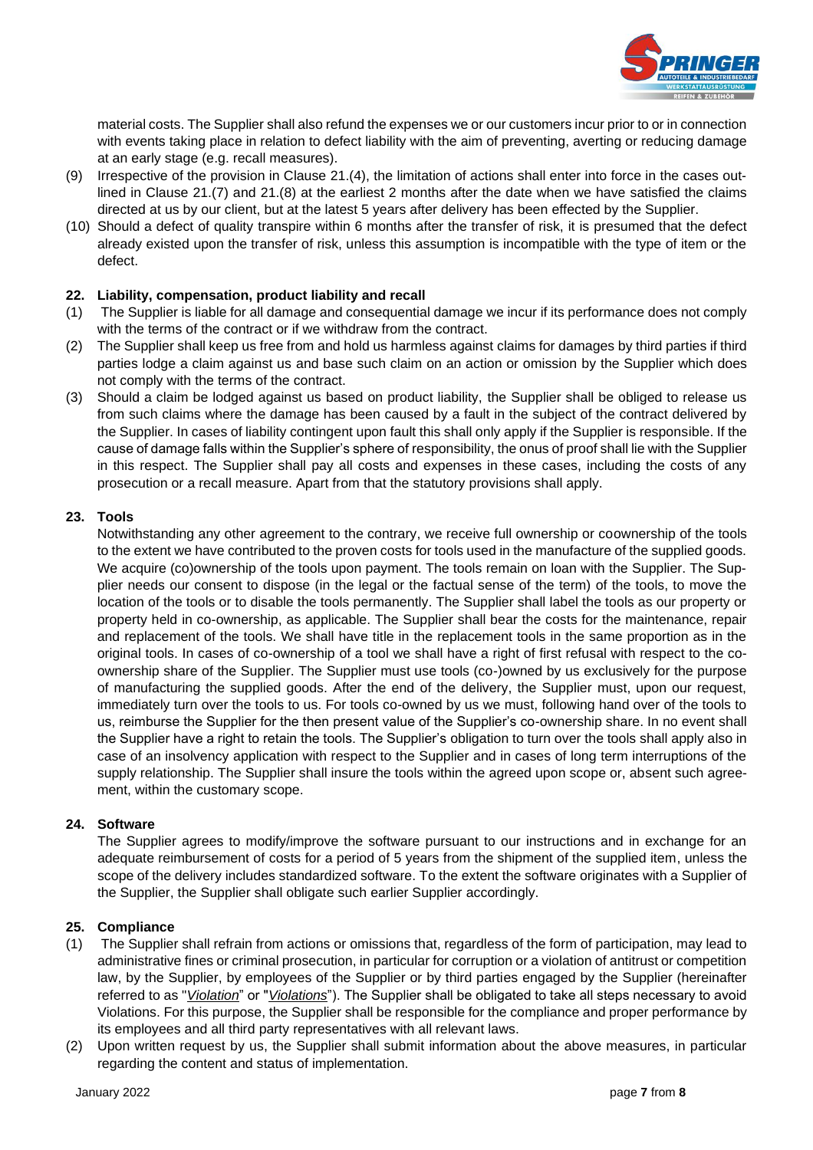

material costs. The Supplier shall also refund the expenses we or our customers incur prior to or in connection with events taking place in relation to defect liability with the aim of preventing, averting or reducing damage at an early stage (e.g. recall measures).

- (9) Irrespective of the provision in Clause 21.(4), the limitation of actions shall enter into force in the cases outlined in Clause 21.(7) and 21.(8) at the earliest 2 months after the date when we have satisfied the claims directed at us by our client, but at the latest 5 years after delivery has been effected by the Supplier.
- (10) Should a defect of quality transpire within 6 months after the transfer of risk, it is presumed that the defect already existed upon the transfer of risk, unless this assumption is incompatible with the type of item or the defect.

# **22. Liability, compensation, product liability and recall**

- (1) The Supplier is liable for all damage and consequential damage we incur if its performance does not comply with the terms of the contract or if we withdraw from the contract.
- (2) The Supplier shall keep us free from and hold us harmless against claims for damages by third parties if third parties lodge a claim against us and base such claim on an action or omission by the Supplier which does not comply with the terms of the contract.
- (3) Should a claim be lodged against us based on product liability, the Supplier shall be obliged to release us from such claims where the damage has been caused by a fault in the subject of the contract delivered by the Supplier. In cases of liability contingent upon fault this shall only apply if the Supplier is responsible. If the cause of damage falls within the Supplier's sphere of responsibility, the onus of proof shall lie with the Supplier in this respect. The Supplier shall pay all costs and expenses in these cases, including the costs of any prosecution or a recall measure. Apart from that the statutory provisions shall apply.

# **23. Tools**

Notwithstanding any other agreement to the contrary, we receive full ownership or coownership of the tools to the extent we have contributed to the proven costs for tools used in the manufacture of the supplied goods. We acquire (co)ownership of the tools upon payment. The tools remain on loan with the Supplier. The Supplier needs our consent to dispose (in the legal or the factual sense of the term) of the tools, to move the location of the tools or to disable the tools permanently. The Supplier shall label the tools as our property or property held in co-ownership, as applicable. The Supplier shall bear the costs for the maintenance, repair and replacement of the tools. We shall have title in the replacement tools in the same proportion as in the original tools. In cases of co-ownership of a tool we shall have a right of first refusal with respect to the coownership share of the Supplier. The Supplier must use tools (co-)owned by us exclusively for the purpose of manufacturing the supplied goods. After the end of the delivery, the Supplier must, upon our request, immediately turn over the tools to us. For tools co-owned by us we must, following hand over of the tools to us, reimburse the Supplier for the then present value of the Supplier's co-ownership share. In no event shall the Supplier have a right to retain the tools. The Supplier's obligation to turn over the tools shall apply also in case of an insolvency application with respect to the Supplier and in cases of long term interruptions of the supply relationship. The Supplier shall insure the tools within the agreed upon scope or, absent such agreement, within the customary scope.

# **24. Software**

The Supplier agrees to modify/improve the software pursuant to our instructions and in exchange for an adequate reimbursement of costs for a period of 5 years from the shipment of the supplied item, unless the scope of the delivery includes standardized software. To the extent the software originates with a Supplier of the Supplier, the Supplier shall obligate such earlier Supplier accordingly.

# **25. Compliance**

- (1) The Supplier shall refrain from actions or omissions that, regardless of the form of participation, may lead to administrative fines or criminal prosecution, in particular for corruption or a violation of antitrust or competition law, by the Supplier, by employees of the Supplier or by third parties engaged by the Supplier (hereinafter referred to as "*Violation*" or "*Violations*"). The Supplier shall be obligated to take all steps necessary to avoid Violations. For this purpose, the Supplier shall be responsible for the compliance and proper performance by its employees and all third party representatives with all relevant laws.
- (2) Upon written request by us, the Supplier shall submit information about the above measures, in particular regarding the content and status of implementation.